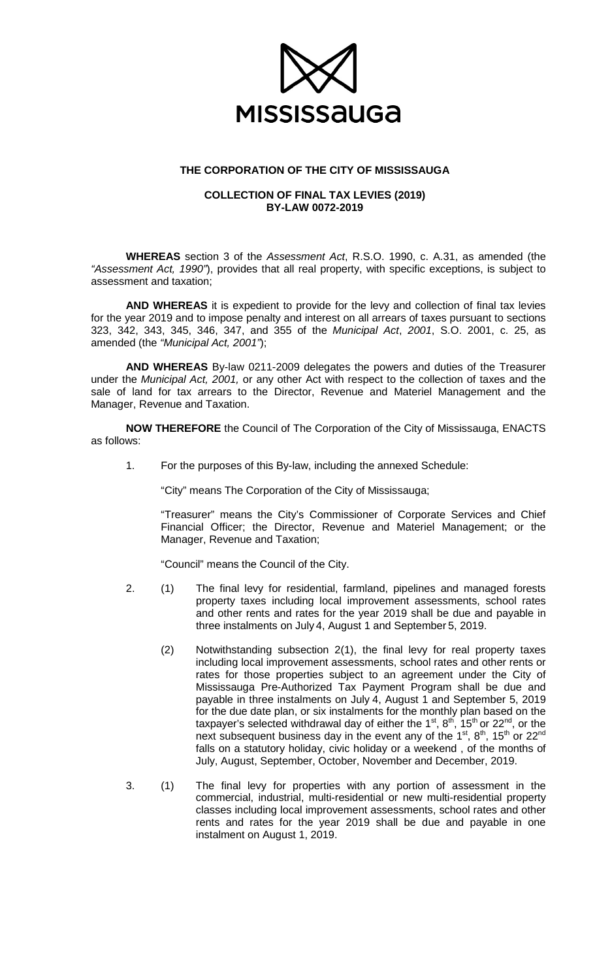

## **THE CORPORATION OF THE CITY OF MISSISSAUGA**

## **COLLECTION OF FINAL TAX LEVIES (2019) BY-LAW 0072-2019**

**WHEREAS** section 3 of the *Assessment Act*, R.S.O. 1990, c. A.31, as amended (the *"Assessment Act, 1990"*), provides that all real property, with specific exceptions, is subject to assessment and taxation;

**AND WHEREAS** it is expedient to provide for the levy and collection of final tax levies for the year 2019 and to impose penalty and interest on all arrears of taxes pursuant to sections 323, 342, 343, 345, 346, 347, and 355 of the *Municipal Act*, *2001*, S.O. 2001, c. 25, as amended (the *"Municipal Act, 2001"*);

**AND WHEREAS** By-law 0211-2009 delegates the powers and duties of the Treasurer under the *Municipal Act, 2001,* or any other Act with respect to the collection of taxes and the sale of land for tax arrears to the Director, Revenue and Materiel Management and the Manager, Revenue and Taxation.

**NOW THEREFORE** the Council of The Corporation of the City of Mississauga, ENACTS as follows:

1. For the purposes of this By-law, including the annexed Schedule:

"City" means The Corporation of the City of Mississauga;

"Treasurer" means the City's Commissioner of Corporate Services and Chief Financial Officer; the Director, Revenue and Materiel Management; or the Manager, Revenue and Taxation;

"Council" means the Council of the City.

- 2. (1) The final levy for residential, farmland, pipelines and managed forests property taxes including local improvement assessments, school rates and other rents and rates for the year 2019 shall be due and payable in three instalments on July 4, August 1 and September 5, 2019.
	- (2) Notwithstanding subsection 2(1), the final levy for real property taxes including local improvement assessments, school rates and other rents or rates for those properties subject to an agreement under the City of Mississauga Pre-Authorized Tax Payment Program shall be due and payable in three instalments on July 4, August 1 and September 5, 2019 for the due date plan, or six instalments for the monthly plan based on the taxpayer's selected withdrawal day of either the  $1<sup>st</sup>$ ,  $8<sup>th</sup>$ ,  $15<sup>th</sup>$  or  $22<sup>nd</sup>$ , or the next subsequent business day in the event any of the  $1^{st}$ ,  $8^{th}$ ,  $15^{th}$  or  $22^{nd}$ falls on a statutory holiday, civic holiday or a weekend , of the months of July, August, September, October, November and December, 2019.
- 3. (1) The final levy for properties with any portion of assessment in the commercial, industrial, multi-residential or new multi-residential property classes including local improvement assessments, school rates and other rents and rates for the year 2019 shall be due and payable in one instalment on August 1, 2019.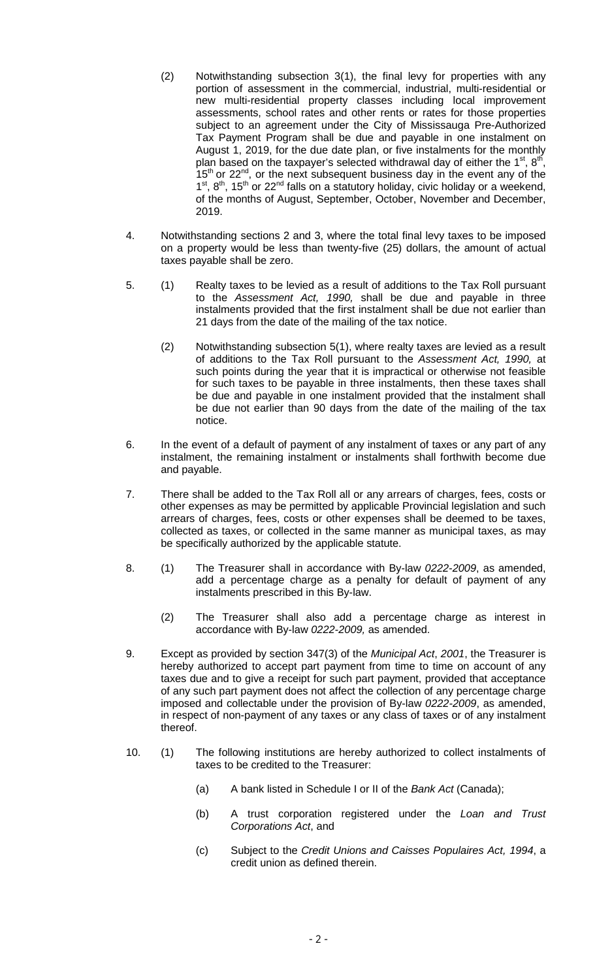- (2) Notwithstanding subsection 3(1), the final levy for properties with any portion of assessment in the commercial, industrial, multi-residential or new multi-residential property classes including local improvement assessments, school rates and other rents or rates for those properties subject to an agreement under the City of Mississauga Pre-Authorized Tax Payment Program shall be due and payable in one instalment on August 1, 2019, for the due date plan, or five instalments for the monthly plan based on the taxpayer's selected withdrawal day of either the  $1^{st}$ ,  $8^{th}$  $15<sup>th</sup>$  or 22<sup>nd</sup>, or the next subsequent business day in the event any of the  $1^{st}$ .  $8^{th}$ ,  $15^{th}$  or 22<sup>nd</sup> falls on a statutory holiday, civic holiday or a weekend, of the months of August, September, October, November and December, 2019.
- 4. Notwithstanding sections 2 and 3, where the total final levy taxes to be imposed on a property would be less than twenty-five (25) dollars, the amount of actual taxes payable shall be zero.
- 5. (1) Realty taxes to be levied as a result of additions to the Tax Roll pursuant to the *Assessment Act, 1990,* shall be due and payable in three instalments provided that the first instalment shall be due not earlier than 21 days from the date of the mailing of the tax notice.
	- (2) Notwithstanding subsection 5(1), where realty taxes are levied as a result of additions to the Tax Roll pursuant to the *Assessment Act, 1990,* at such points during the year that it is impractical or otherwise not feasible for such taxes to be payable in three instalments, then these taxes shall be due and payable in one instalment provided that the instalment shall be due not earlier than 90 days from the date of the mailing of the tax notice.
- 6. In the event of a default of payment of any instalment of taxes or any part of any instalment, the remaining instalment or instalments shall forthwith become due and payable.
- 7. There shall be added to the Tax Roll all or any arrears of charges, fees, costs or other expenses as may be permitted by applicable Provincial legislation and such arrears of charges, fees, costs or other expenses shall be deemed to be taxes, collected as taxes, or collected in the same manner as municipal taxes, as may be specifically authorized by the applicable statute.
- 8. (1) The Treasurer shall in accordance with By-law *0222-2009*, as amended, add a percentage charge as a penalty for default of payment of any instalments prescribed in this By-law.
	- (2) The Treasurer shall also add a percentage charge as interest in accordance with By-law *0222-2009,* as amended.
- 9. Except as provided by section 347(3) of the *Municipal Act*, *2001*, the Treasurer is hereby authorized to accept part payment from time to time on account of any taxes due and to give a receipt for such part payment, provided that acceptance of any such part payment does not affect the collection of any percentage charge imposed and collectable under the provision of By-law *0222-2009*, as amended, in respect of non-payment of any taxes or any class of taxes or of any instalment thereof.
- 10. (1) The following institutions are hereby authorized to collect instalments of taxes to be credited to the Treasurer:
	- (a) A bank listed in Schedule I or II of the *Bank Act* (Canada);
	- (b) A trust corporation registered under the *Loan and Trust Corporations Act*, and
	- (c) Subject to the *Credit Unions and Caisses Populaires Act, 1994*, a credit union as defined therein.